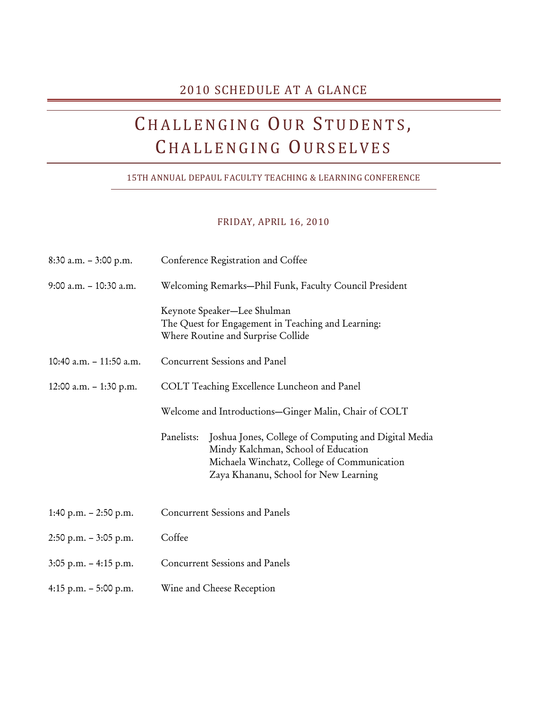### 2010 SCHEDULE AT A GLANCE

# CHALLENGING OUR STUDENTS, CHALLENGING OURSELVES

#### 15TH ANNUAL DEPAUL FACULTY TEACHING & LEARNING CONFERENCE

#### FRIDAY, APRIL 16, 2010

| $8:30$ a.m. $-3:00$ p.m.  | Conference Registration and Coffee                                                                                                                                                                |  |
|---------------------------|---------------------------------------------------------------------------------------------------------------------------------------------------------------------------------------------------|--|
| 9:00 a.m. - 10:30 a.m.    | Welcoming Remarks-Phil Funk, Faculty Council President                                                                                                                                            |  |
|                           | Keynote Speaker-Lee Shulman<br>The Quest for Engagement in Teaching and Learning:<br>Where Routine and Surprise Collide                                                                           |  |
| 10:40 a.m. $-$ 11:50 a.m. | Concurrent Sessions and Panel                                                                                                                                                                     |  |
| 12:00 a.m. $-$ 1:30 p.m.  | COLT Teaching Excellence Luncheon and Panel                                                                                                                                                       |  |
|                           | Welcome and Introductions-Ginger Malin, Chair of COLT                                                                                                                                             |  |
|                           | Joshua Jones, College of Computing and Digital Media<br>Panelists:<br>Mindy Kalchman, School of Education<br>Michaela Winchatz, College of Communication<br>Zaya Khananu, School for New Learning |  |
| 1:40 p.m. $- 2:50$ p.m.   | <b>Concurrent Sessions and Panels</b>                                                                                                                                                             |  |
| $2:50$ p.m. $-3:05$ p.m.  | Coffee                                                                                                                                                                                            |  |
| $3:05$ p.m. $-4:15$ p.m.  | <b>Concurrent Sessions and Panels</b>                                                                                                                                                             |  |
| 4:15 p.m. $-$ 5:00 p.m.   | Wine and Cheese Reception                                                                                                                                                                         |  |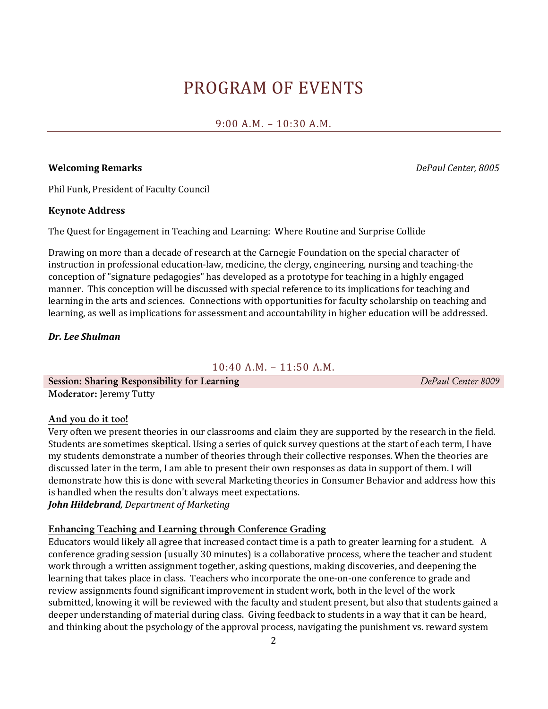## PROGRAM OF EVENTS

#### 9:00 A.M. – 10:30 A.M.

#### **Welcoming Remarks** *DePaul Center, 8005*

Phil Funk, President of Faculty Council

#### **Keynote Address**

The Quest for Engagement in Teaching and Learning: Where Routine and Surprise Collide

Drawing on more than a decade of research at the Carnegie Foundation on the special character of instruction in professional education-law, medicine, the clergy, engineering, nursing and teaching-the conception of "signature pedagogies" has developed as a prototype for teaching in a highly engaged manner. This conception will be discussed with special reference to its implications for teaching and learning in the arts and sciences. Connections with opportunities for faculty scholarship on teaching and learning, as well as implications for assessment and accountability in higher education will be addressed.

#### *Dr. Lee Shulman*

10:40 A.M. – 11:50 A.M.

**Session: Sharing Responsibility for Learning** *DePaul Center 8009* **Moderator:** Jeremy Tutty

**And you do it too!**

Very often we present theories in our classrooms and claim they are supported by the research in the field. Students are sometimes skeptical. Using a series of quick survey questions at the start of each term, I have my students demonstrate a number of theories through their collective responses. When the theories are discussed later in the term, I am able to present their own responses as data in support of them. I will demonstrate how this is done with several Marketing theories in Consumer Behavior and address how this is handled when the results don't always meet expectations.

*John Hildebrand, Department of Marketing*

#### **Enhancing Teaching and Learning through Conference Grading**

Educators would likely all agree that increased contact time is a path to greater learning for a student. A conference grading session (usually 30 minutes) is a collaborative process, where the teacher and student work through a written assignment together, asking questions, making discoveries, and deepening the learning that takes place in class. Teachers who incorporate the one-on-one conference to grade and review assignments found significant improvement in student work, both in the level of the work submitted, knowing it will be reviewed with the faculty and student present, but also that students gained a deeper understanding of material during class. Giving feedback to students in a way that it can be heard, and thinking about the psychology of the approval process, navigating the punishment vs. reward system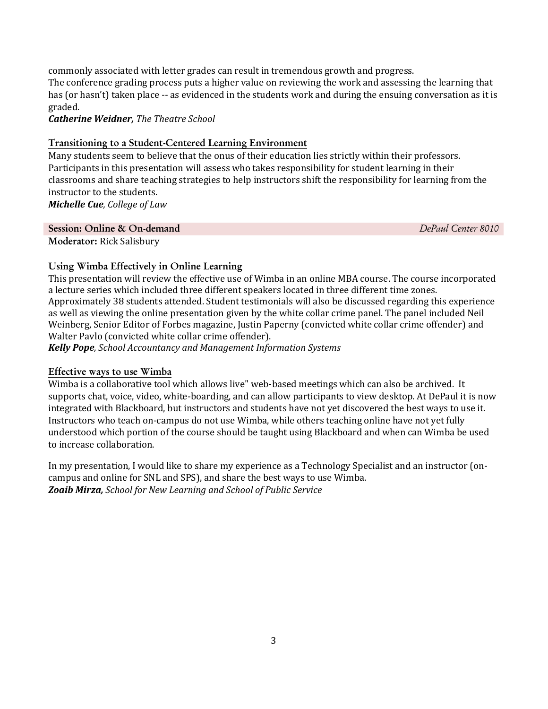commonly associated with letter grades can result in tremendous growth and progress.

The conference grading process puts a higher value on reviewing the work and assessing the learning that has (or hasn't) taken place -- as evidenced in the students work and during the ensuing conversation as it is graded.

*Catherine Weidner, The Theatre School*

#### **Transitioning to a Student-Centered Learning Environment**

Many students seem to believe that the onus of their education lies strictly within their professors. Participants in this presentation will assess who takes responsibility for student learning in their classrooms and share teaching strategies to help instructors shift the responsibility for learning from the instructor to the students.

*Michelle Cue, College of Law*

#### **Session: Online & On-demand** *DePaul Center 8010*

**Moderator:** Rick Salisbury

#### **Using Wimba Effectively in Online Learning**

This presentation will review the effective use of Wimba in an online MBA course. The course incorporated a lecture series which included three different speakers located in three different time zones. Approximately 38 students attended. Student testimonials will also be discussed regarding this experience as well as viewing the online presentation given by the white collar crime panel. The panel included Neil Weinberg, Senior Editor of Forbes magazine, Justin Paperny (convicted white collar crime offender) and Walter Pavlo (convicted white collar crime offender).

*Kelly Pope, School Accountancy and Management Information Systems*

#### **Effective ways to use Wimba**

Wimba is a collaborative tool which allows live" web-based meetings which can also be archived. It supports chat, voice, video, white-boarding, and can allow participants to view desktop. At DePaul it is now integrated with Blackboard, but instructors and students have not yet discovered the best ways to use it. Instructors who teach on-campus do not use Wimba, while others teaching online have not yet fully understood which portion of the course should be taught using Blackboard and when can Wimba be used to increase collaboration.

In my presentation, I would like to share my experience as a Technology Specialist and an instructor (oncampus and online for SNL and SPS), and share the best ways to use Wimba. *Zoaib Mirza, School for New Learning and School of Public Service*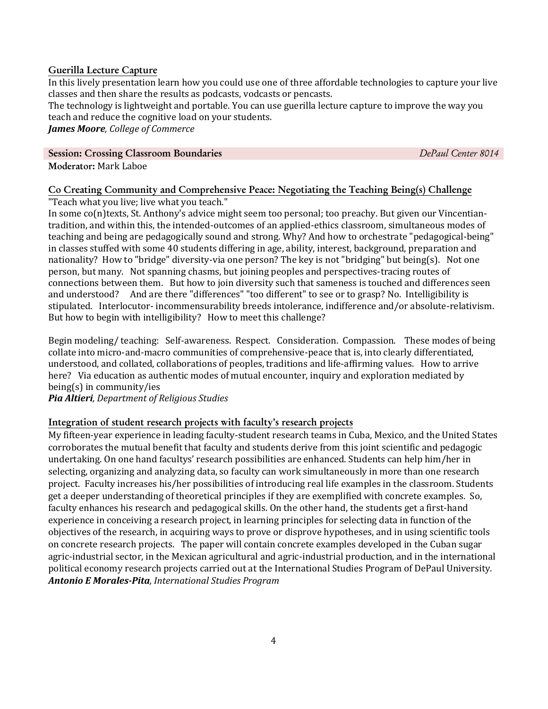#### **Guerilla Lecture Capture**

In this lively presentation learn how you could use one of three affordable technologies to capture your live classes and then share the results as podcasts, vodcasts or pencasts.

The technology is lightweight and portable. You can use guerilla lecture capture to improve the way you teach and reduce the cognitive load on your students.

*James Moore, College of Commerce*

#### **Session: Crossing Classroom Boundaries** *DePaul Center 8014*

**Moderator:** Mark Laboe

#### **Co Creating Community and Comprehensive Peace: Negotiating the Teaching Being(s) Challenge**

"Teach what you live; live what you teach."

In some co(n)texts, St. Anthony's advice might seem too personal; too preachy. But given our Vincentiantradition, and within this, the intended-outcomes of an applied-ethics classroom, simultaneous modes of teaching and being are pedagogically sound and strong. Why? And how to orchestrate "pedagogical-being" in classes stuffed with some 40 students differing in age, ability, interest, background, preparation and nationality? How to "bridge" diversity-via one person? The key is not "bridging" but being(s). Not one person, but many. Not spanning chasms, but joining peoples and perspectives-tracing routes of connections between them. But how to join diversity such that sameness is touched and differences seen and understood? And are there "differences" "too different" to see or to grasp? No. Intelligibility is stipulated. Interlocutor- incommensurability breeds intolerance, indifference and/or absolute-relativism. But how to begin with intelligibility? How to meet this challenge?

Begin modeling/ teaching: Self-awareness. Respect. Consideration. Compassion. These modes of being collate into micro-and-macro communities of comprehensive-peace that is, into clearly differentiated, understood, and collated, collaborations of peoples, traditions and life-affirming values. How to arrive here? Via education as authentic modes of mutual encounter, inquiry and exploration mediated by being(s) in community/ies

*Pia Altieri, Department of Religious Studies*

#### **Integration of student research projects with faculty's research projects**

My fifteen-year experience in leading faculty-student research teams in Cuba, Mexico, and the United States corroborates the mutual benefit that faculty and students derive from this joint scientific and pedagogic undertaking. On one hand facultys' research possibilities are enhanced. Students can help him/her in selecting, organizing and analyzing data, so faculty can work simultaneously in more than one research project. Faculty increases his/her possibilities of introducing real life examples in the classroom. Students get a deeper understanding of theoretical principles if they are exemplified with concrete examples. So, faculty enhances his research and pedagogical skills. On the other hand, the students get a first-hand experience in conceiving a research project, in learning principles for selecting data in function of the objectives of the research, in acquiring ways to prove or disprove hypotheses, and in using scientific tools on concrete research projects. The paper will contain concrete examples developed in the Cuban sugar agric-industrial sector, in the Mexican agricultural and agric-industrial production, and in the international political economy research projects carried out at the International Studies Program of DePaul University. *Antonio E Morales-Pita, International Studies Program*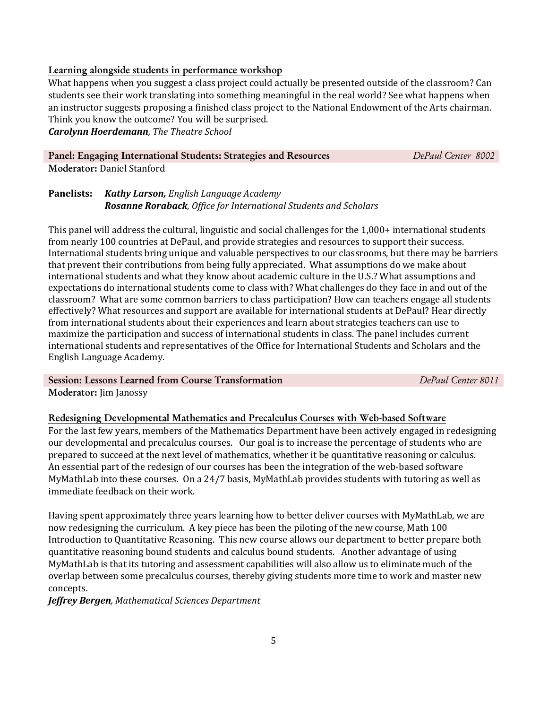#### **Learning alongside students in performance workshop**

What happens when you suggest a class project could actually be presented outside of the classroom? Can students see their work translating into something meaningful in the real world? See what happens when an instructor suggests proposing a finished class project to the National Endowment of the Arts chairman. Think you know the outcome? You will be surprised.

*Carolynn Hoerdemann, The Theatre School*

## **Panel: Engaging International Students: Strategies and Resources** *DePaul Center 8002*

**Moderator:** Daniel Stanford

**Panelists:** *Kathy Larson, English Language Academy Rosanne Roraback*, *Office for International Students and Scholars* 

This panel will address the cultural, linguistic and social challenges for the 1,000+ international students from nearly 100 countries at DePaul, and provide strategies and resources to support their success. International students bring unique and valuable perspectives to our classrooms, but there may be barriers that prevent their contributions from being fully appreciated. What assumptions do we make about international students and what they know about academic culture in the U.S.? What assumptions and expectations do international students come to class with? What challenges do they face in and out of the classroom? What are some common barriers to class participation? How can teachers engage all students effectively? What resources and support are available for international students at DePaul? Hear directly from international students about their experiences and learn about strategies teachers can use to maximize the participation and success of international students in class. The panel includes current international students and representatives of the Office for International Students and Scholars and the English Language Academy.

#### **Session: Lessons Learned from Course Transformation** *DePaul Center 8011*

**Moderator:** Jim Janossy

#### **Redesigning Developmental Mathematics and Precalculus Courses with Web-based Software**

For the last few years, members of the Mathematics Department have been actively engaged in redesigning our developmental and precalculus courses. Our goal is to increase the percentage of students who are prepared to succeed at the next level of mathematics, whether it be quantitative reasoning or calculus. An essential part of the redesign of our courses has been the integration of the web-based software MyMathLab into these courses. On a 24/7 basis, MyMathLab provides students with tutoring as well as immediate feedback on their work.

Having spent approximately three years learning how to better deliver courses with MyMathLab, we are now redesigning the curriculum. A key piece has been the piloting of the new course, Math 100 Introduction to Quantitative Reasoning. This new course allows our department to better prepare both quantitative reasoning bound students and calculus bound students. Another advantage of using MyMathLab is that its tutoring and assessment capabilities will also allow us to eliminate much of the overlap between some precalculus courses, thereby giving students more time to work and master new concepts.

*Jeffrey Bergen, Mathematical Sciences Department*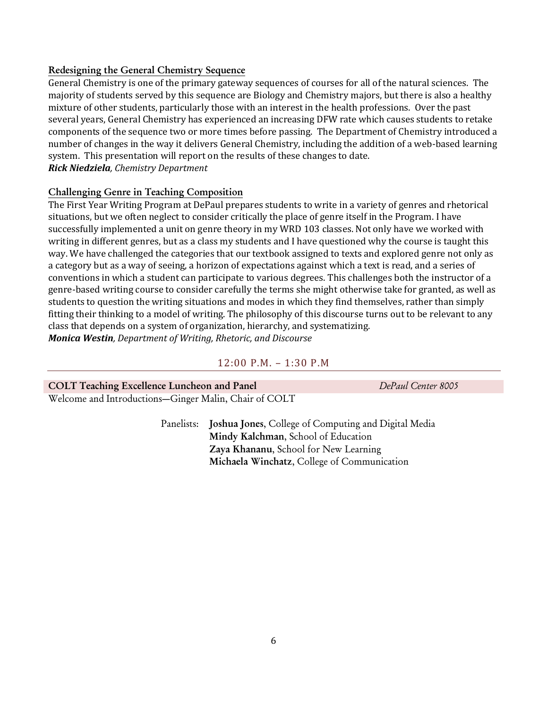#### **Redesigning the General Chemistry Sequence**

General Chemistry is one of the primary gateway sequences of courses for all of the natural sciences. The majority of students served by this sequence are Biology and Chemistry majors, but there is also a healthy mixture of other students, particularly those with an interest in the health professions. Over the past several years, General Chemistry has experienced an increasing DFW rate which causes students to retake components of the sequence two or more times before passing. The Department of Chemistry introduced a number of changes in the way it delivers General Chemistry, including the addition of a web-based learning system. This presentation will report on the results of these changes to date. *Rick Niedziela, Chemistry Department*

#### **Challenging Genre in Teaching Composition**

The First Year Writing Program at DePaul prepares students to write in a variety of genres and rhetorical situations, but we often neglect to consider critically the place of genre itself in the Program. I have successfully implemented a unit on genre theory in my WRD 103 classes. Not only have we worked with writing in different genres, but as a class my students and I have questioned why the course is taught this way. We have challenged the categories that our textbook assigned to texts and explored genre not only as a category but as a way of seeing, a horizon of expectations against which a text is read, and a series of conventions in which a student can participate to various degrees. This challenges both the instructor of a genre-based writing course to consider carefully the terms she might otherwise take for granted, as well as students to question the writing situations and modes in which they find themselves, rather than simply fitting their thinking to a model of writing. The philosophy of this discourse turns out to be relevant to any class that depends on a system of organization, hierarchy, and systematizing. *Monica Westin, Department of Writing, Rhetoric, and Discourse*

#### 12:00 P.M. – 1:30 P.M

| <b>COLT Teaching Excellence Luncheon and Panel</b>    | DePaul Center 8005 |
|-------------------------------------------------------|--------------------|
| Welcome and Introductions-Ginger Malin, Chair of COLT |                    |

Panelists: **Joshua Jones**, College of Computing and Digital Media **Mindy Kalchman**, School of Education **Zaya Khananu**, School for New Learning **Michaela Winchatz**, College of Communication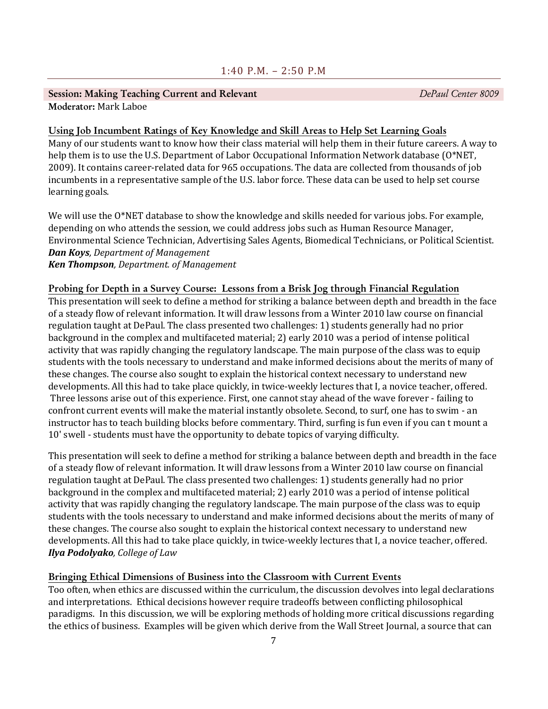#### **Session: Making Teaching Current and Relevant** *DePaul Center 8009* **Moderator:** Mark Laboe

#### **Using Job Incumbent Ratings of Key Knowledge and Skill Areas to Help Set Learning Goals**

Many of our students want to know how their class material will help them in their future careers. A way to help them is to use the U.S. Department of Labor Occupational Information Network database (O\*NET, 2009). It contains career-related data for 965 occupations. The data are collected from thousands of job incumbents in a representative sample of the U.S. labor force. These data can be used to help set course learning goals.

We will use the O\*NET database to show the knowledge and skills needed for various jobs. For example, depending on who attends the session, we could address jobs such as Human Resource Manager, Environmental Science Technician, Advertising Sales Agents, Biomedical Technicians, or Political Scientist. *Dan Koys, Department of Management Ken Thompson, Department. of Management*

#### **Probing for Depth in a Survey Course: Lessons from a Brisk Jog through Financial Regulation**

This presentation will seek to define a method for striking a balance between depth and breadth in the face of a steady flow of relevant information. It will draw lessons from a Winter 2010 law course on financial regulation taught at DePaul. The class presented two challenges: 1) students generally had no prior background in the complex and multifaceted material; 2) early 2010 was a period of intense political activity that was rapidly changing the regulatory landscape. The main purpose of the class was to equip students with the tools necessary to understand and make informed decisions about the merits of many of these changes. The course also sought to explain the historical context necessary to understand new developments. All this had to take place quickly, in twice-weekly lectures that I, a novice teacher, offered. Three lessons arise out of this experience. First, one cannot stay ahead of the wave forever - failing to confront current events will make the material instantly obsolete. Second, to surf, one has to swim - an instructor has to teach building blocks before commentary. Third, surfing is fun even if you can t mount a 10' swell - students must have the opportunity to debate topics of varying difficulty.

This presentation will seek to define a method for striking a balance between depth and breadth in the face of a steady flow of relevant information. It will draw lessons from a Winter 2010 law course on financial regulation taught at DePaul. The class presented two challenges: 1) students generally had no prior background in the complex and multifaceted material; 2) early 2010 was a period of intense political activity that was rapidly changing the regulatory landscape. The main purpose of the class was to equip students with the tools necessary to understand and make informed decisions about the merits of many of these changes. The course also sought to explain the historical context necessary to understand new developments. All this had to take place quickly, in twice-weekly lectures that I, a novice teacher, offered. *Ilya Podolyako, College of Law*

#### **Bringing Ethical Dimensions of Business into the Classroom with Current Events**

Too often, when ethics are discussed within the curriculum, the discussion devolves into legal declarations and interpretations. Ethical decisions however require tradeoffs between conflicting philosophical paradigms. In this discussion, we will be exploring methods of holding more critical discussions regarding the ethics of business. Examples will be given which derive from the Wall Street Journal, a source that can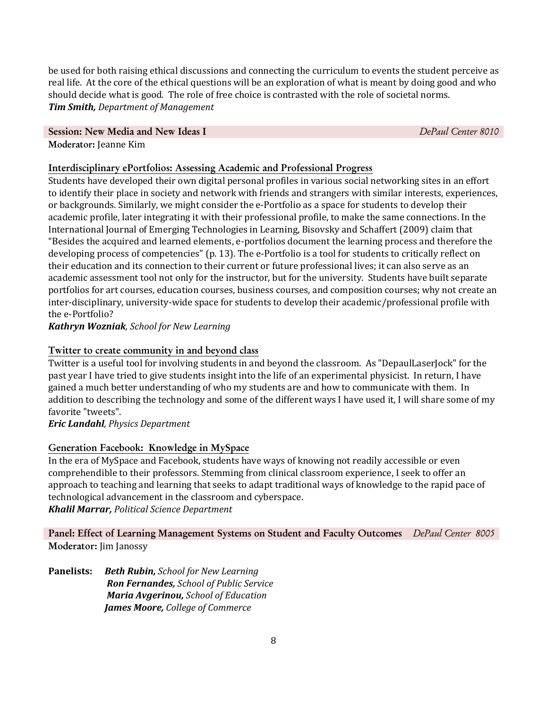be used for both raising ethical discussions and connecting the curriculum to events the student perceive as real life. At the core of the ethical questions will be an exploration of what is meant by doing good and who should decide what is good. The role of free choice is contrasted with the role of societal norms. *Tim Smith, Department of Management*

### **Session: New Media and New Ideas I** *DePaul Center 8010*

#### **Moderator:** Jeanne Kim

#### **Interdisciplinary ePortfolios: Assessing Academic and Professional Progress**

Students have developed their own digital personal profiles in various social networking sites in an effort to identify their place in society and network with friends and strangers with similar interests, experiences, or backgrounds. Similarly, we might consider the e-Portfolio as a space for students to develop their academic profile, later integrating it with their professional profile, to make the same connections. In the International Journal of Emerging Technologies in Learning, Bisovsky and Schaffert (2009) claim that "Besides the acquired and learned elements, e-portfolios document the learning process and therefore the developing process of competencies" (p. 13). The e-Portfolio is a tool for students to critically reflect on their education and its connection to their current or future professional lives; it can also serve as an academic assessment tool not only for the instructor, but for the university. Students have built separate portfolios for art courses, education courses, business courses, and composition courses; why not create an inter-disciplinary, university-wide space for students to develop their academic/professional profile with the e-Portfolio?

*Kathryn Wozniak, School for New Learning*

#### **Twitter to create community in and beyond class**

Twitter is a useful tool for involving students in and beyond the classroom. As "DepaulLaserJock" for the past year I have tried to give students insight into the life of an experimental physicist. In return, I have gained a much better understanding of who my students are and how to communicate with them. In addition to describing the technology and some of the different ways I have used it, I will share some of my favorite "tweets".

*Eric Landahl, Physics Department*

#### **Generation Facebook: Knowledge in MySpace**

In the era of MySpace and Facebook, students have ways of knowing not readily accessible or even comprehendible to their professors. Stemming from clinical classroom experience, I seek to offer an approach to teaching and learning that seeks to adapt traditional ways of knowledge to the rapid pace of technological advancement in the classroom and cyberspace. *Khalil Marrar, Political Science Department*

**Panel: Effect of Learning Management Systems on Student and Faculty Outcomes** *DePaul Center 8005* **Moderator:** Jim Janossy

**Panelists:** *Beth Rubin, School for New Learning Ron Fernandes, School of Public Service Maria Avgerinou, School of Education James Moore, College of Commerce*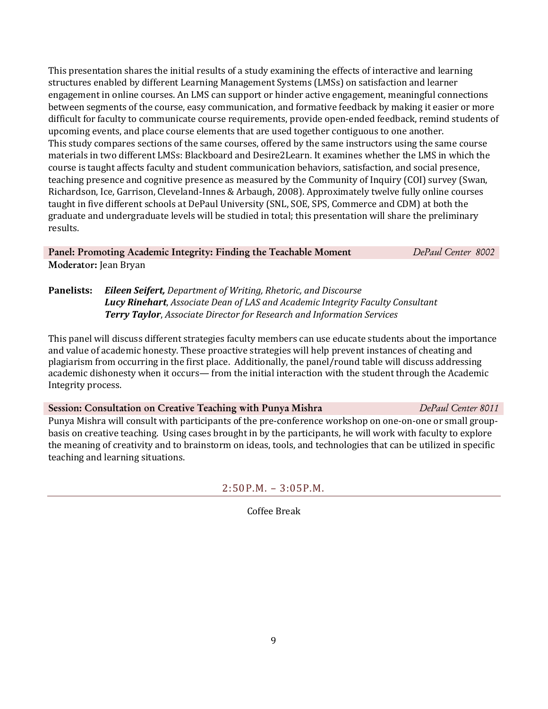This presentation shares the initial results of a study examining the effects of interactive and learning structures enabled by different Learning Management Systems (LMSs) on satisfaction and learner engagement in online courses. An LMS can support or hinder active engagement, meaningful connections between segments of the course, easy communication, and formative feedback by making it easier or more difficult for faculty to communicate course requirements, provide open-ended feedback, remind students of upcoming events, and place course elements that are used together contiguous to one another. This study compares sections of the same courses, offered by the same instructors using the same course materials in two different LMSs: Blackboard and Desire2Learn. It examines whether the LMS in which the course is taught affects faculty and student communication behaviors, satisfaction, and social presence, teaching presence and cognitive presence as measured by the Community of Inquiry (COI) survey (Swan, Richardson, Ice, Garrison, Cleveland-Innes & Arbaugh, 2008). Approximately twelve fully online courses taught in five different schools at DePaul University (SNL, SOE, SPS, Commerce and CDM) at both the graduate and undergraduate levels will be studied in total; this presentation will share the preliminary results.

**Panel: Promoting Academic Integrity: Finding the Teachable Moment** *DePaul Center 8002* **Moderator:** Jean Bryan

**Panelists:** *Eileen Seifert, Department of Writing, Rhetoric, and Discourse Lucy Rinehart*, *Associate Dean of LAS and Academic Integrity Faculty Consultant Terry Taylor*, *Associate Director for Research and Information Services*

This panel will discuss different strategies faculty members can use educate students about the importance and value of academic honesty. These proactive strategies will help prevent instances of cheating and plagiarism from occurring in the first place. Additionally, the panel/round table will discuss addressing academic dishonesty when it occurs— from the initial interaction with the student through the Academic Integrity process.

**Session: Consultation on Creative Teaching with Punya Mishra** *DePaul Center 8011*

Punya Mishra will consult with participants of the pre-conference workshop on one-on-one or small groupbasis on creative teaching. Using cases brought in by the participants, he will work with faculty to explore the meaning of creativity and to brainstorm on ideas, tools, and technologies that can be utilized in specific teaching and learning situations.

2:50P.M. – 3:05P.M.

Coffee Break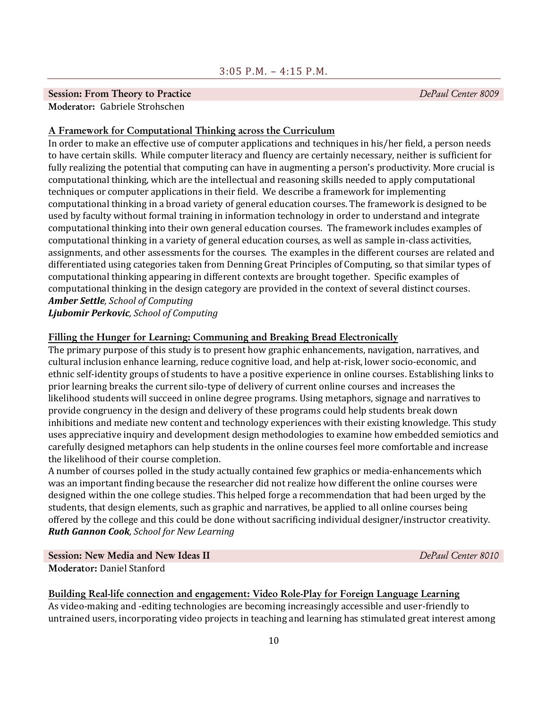#### **Session: From Theory to Practice** *DePaul Center 8009*

**Moderator:** Gabriele Strohschen

#### **A Framework for Computational Thinking across the Curriculum**

In order to make an effective use of computer applications and techniques in his/her field, a person needs to have certain skills. While computer literacy and fluency are certainly necessary, neither is sufficient for fully realizing the potential that computing can have in augmenting a person's productivity. More crucial is computational thinking, which are the intellectual and reasoning skills needed to apply computational techniques or computer applications in their field. We describe a framework for implementing computational thinking in a broad variety of general education courses. The framework is designed to be used by faculty without formal training in information technology in order to understand and integrate computational thinking into their own general education courses. The framework includes examples of computational thinking in a variety of general education courses, as well as sample in-class activities, assignments, and other assessments for the courses. The examples in the different courses are related and differentiated using categories taken from Denning Great Principles of Computing, so that similar types of computational thinking appearing in different contexts are brought together. Specific examples of computational thinking in the design category are provided in the context of several distinct courses. *Amber Settle, School of Computing*

*Ljubomir Perkovic, School of Computing*

#### **Filling the Hunger for Learning: Communing and Breaking Bread Electronically**

The primary purpose of this study is to present how graphic enhancements, navigation, narratives, and cultural inclusion enhance learning, reduce cognitive load, and help at-risk, lower socio-economic, and ethnic self-identity groups of students to have a positive experience in online courses. Establishing links to prior learning breaks the current silo-type of delivery of current online courses and increases the likelihood students will succeed in online degree programs. Using metaphors, signage and narratives to provide congruency in the design and delivery of these programs could help students break down inhibitions and mediate new content and technology experiences with their existing knowledge. This study uses appreciative inquiry and development design methodologies to examine how embedded semiotics and carefully designed metaphors can help students in the online courses feel more comfortable and increase the likelihood of their course completion.

A number of courses polled in the study actually contained few graphics or media-enhancements which was an important finding because the researcher did not realize how different the online courses were designed within the one college studies. This helped forge a recommendation that had been urged by the students, that design elements, such as graphic and narratives, be applied to all online courses being offered by the college and this could be done without sacrificing individual designer/instructor creativity. *Ruth Gannon Cook, School for New Learning*

**Session: New Media and New Ideas II** *DePaul Center 8010* **Moderator:** Daniel Stanford

#### **Building Real-life connection and engagement: Video Role-Play for Foreign Language Learning**

As video-making and -editing technologies are becoming increasingly accessible and user-friendly to untrained users, incorporating video projects in teaching and learning has stimulated great interest among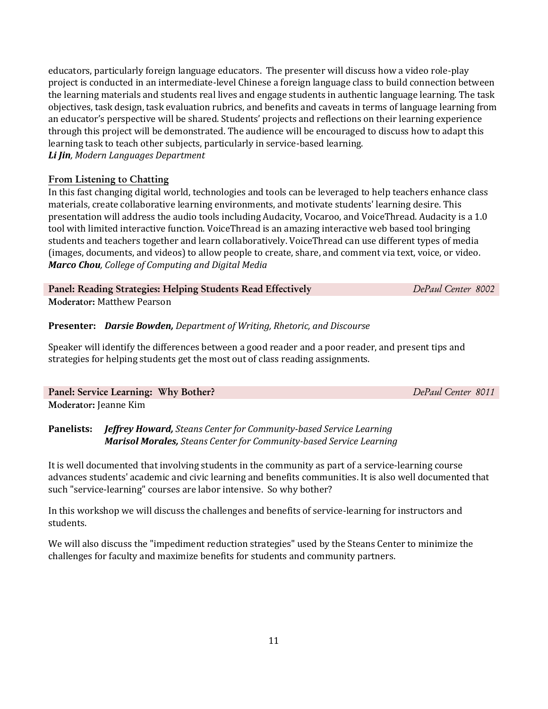educators, particularly foreign language educators. The presenter will discuss how a video role-play project is conducted in an intermediate-level Chinese a foreign language class to build connection between the learning materials and students real lives and engage students in authentic language learning. The task objectives, task design, task evaluation rubrics, and benefits and caveats in terms of language learning from an educator's perspective will be shared. Students' projects and reflections on their learning experience through this project will be demonstrated. The audience will be encouraged to discuss how to adapt this learning task to teach other subjects, particularly in service-based learning. *Li Jin, Modern Languages Department*

#### **From Listening to Chatting**

In this fast changing digital world, technologies and tools can be leveraged to help teachers enhance class materials, create collaborative learning environments, and motivate students' learning desire. This presentation will address the audio tools including Audacity, Vocaroo, and VoiceThread. Audacity is a 1.0 tool with limited interactive function. VoiceThread is an amazing interactive web based tool bringing students and teachers together and learn collaboratively. VoiceThread can use different types of media (images, documents, and videos) to allow people to create, share, and comment via text, voice, or video. *Marco Chou, College of Computing and Digital Media*

#### **Panel: Reading Strategies: Helping Students Read Effectively** *DePaul Center 8002* **Moderator:** Matthew Pearson

#### **Presenter:** *Darsie Bowden, Department of Writing, Rhetoric, and Discourse*

Speaker will identify the differences between a good reader and a poor reader, and present tips and strategies for helping students get the most out of class reading assignments.

#### **Panel: Service Learning: Why Bother?** *DePaul Center 8011* **Moderator:** Jeanne Kim

**Panelists:** *Jeffrey Howard, Steans Center for Community-based Service Learning Marisol Morales, Steans Center for Community-based Service Learning*

It is well documented that involving students in the community as part of a service-learning course advances students' academic and civic learning and benefits communities. It is also well documented that such "service-learning" courses are labor intensive. So why bother?

In this workshop we will discuss the challenges and benefits of service-learning for instructors and students.

We will also discuss the "impediment reduction strategies" used by the Steans Center to minimize the challenges for faculty and maximize benefits for students and community partners.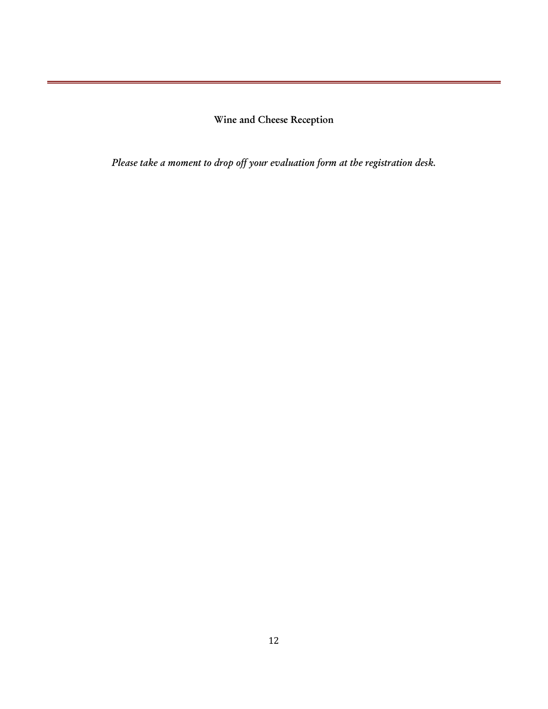**Wine and Cheese Reception**

*Please take a moment to drop off your evaluation form at the registration desk.*